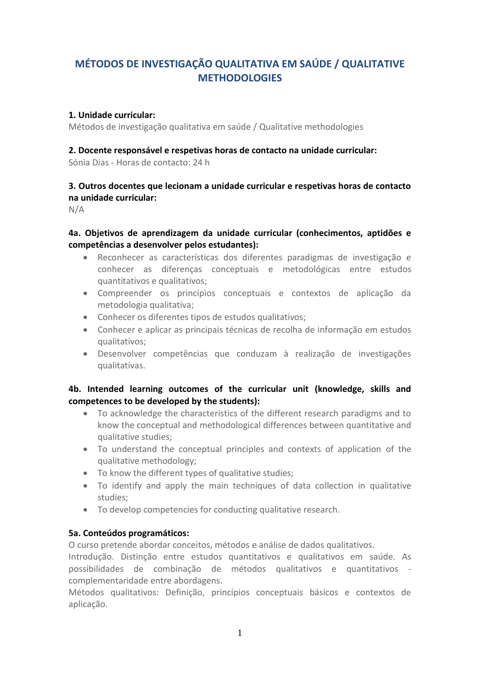# **MÉTODOS DE INVESTIGAÇÃO QUALITATIVA EM SAÚDE / QUALITATIVE METHODOLOGIES**

#### **1. Unidade curricular:**

Métodos de investigação qualitativa em saúde / Qualitative methodologies

#### **2. Docente responsável e respetivas horas de contacto na unidade curricular:**

Sónia Dias - Horas de contacto: 24 h

# **3. Outros docentes que lecionam a unidade curricular e respetivas horas de contacto na unidade curricular:**

N/A

## **4a. Objetivos de aprendizagem da unidade curricular (conhecimentos, aptidões e competências a desenvolver pelos estudantes):**

- Reconhecer as características dos diferentes paradigmas de investigação e conhecer as diferenças conceptuais e metodológicas entre estudos quantitativos e qualitativos;
- Compreender os princípios conceptuais e contextos de aplicação da metodologia qualitativa;
- Conhecer os diferentes tipos de estudos qualitativos;
- Conhecer e aplicar as principais técnicas de recolha de informação em estudos qualitativos;
- Desenvolver competências que conduzam à realização de investigações qualitativas.

## **4b. Intended learning outcomes of the curricular unit (knowledge, skills and competences to be developed by the students):**

- To acknowledge the characteristics of the different research paradigms and to know the conceptual and methodological differences between quantitative and qualitative studies;
- To understand the conceptual principles and contexts of application of the qualitative methodology;
- To know the different types of qualitative studies;
- To identify and apply the main techniques of data collection in qualitative studies;
- To develop competencies for conducting qualitative research.

#### **5a. Conteúdos programáticos:**

O curso pretende abordar conceitos, métodos e análise de dados qualitativos.

Introdução. Distinção entre estudos quantitativos e qualitativos em saúde. As possibilidades de combinação de métodos qualitativos e quantitativos complementaridade entre abordagens.

Métodos qualitativos: Definição, princípios conceptuais básicos e contextos de aplicação.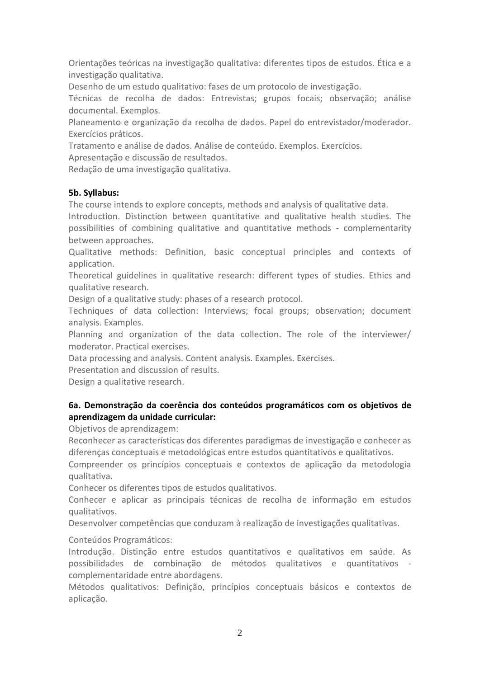Orientações teóricas na investigação qualitativa: diferentes tipos de estudos. Ética e a investigação qualitativa.

Desenho de um estudo qualitativo: fases de um protocolo de investigação.

Técnicas de recolha de dados: Entrevistas; grupos focais; observação; análise documental. Exemplos.

Planeamento e organização da recolha de dados. Papel do entrevistador/moderador. Exercícios práticos.

Tratamento e análise de dados. Análise de conteúdo. Exemplos. Exercícios.

Apresentação e discussão de resultados.

Redação de uma investigação qualitativa.

## **5b. Syllabus:**

The course intends to explore concepts, methods and analysis of qualitative data.

Introduction. Distinction between quantitative and qualitative health studies. The possibilities of combining qualitative and quantitative methods - complementarity between approaches.

Qualitative methods: Definition, basic conceptual principles and contexts of application.

Theoretical guidelines in qualitative research: different types of studies. Ethics and qualitative research.

Design of a qualitative study: phases of a research protocol.

Techniques of data collection: Interviews; focal groups; observation; document analysis. Examples.

Planning and organization of the data collection. The role of the interviewer/ moderator. Practical exercises.

Data processing and analysis. Content analysis. Examples. Exercises.

Presentation and discussion of results.

Design a qualitative research.

## **6a. Demonstração da coerência dos conteúdos programáticos com os objetivos de aprendizagem da unidade curricular:**

Objetivos de aprendizagem:

Reconhecer as características dos diferentes paradigmas de investigação e conhecer as diferenças conceptuais e metodológicas entre estudos quantitativos e qualitativos.

Compreender os princípios conceptuais e contextos de aplicação da metodologia qualitativa.

Conhecer os diferentes tipos de estudos qualitativos.

Conhecer e aplicar as principais técnicas de recolha de informação em estudos qualitativos.

Desenvolver competências que conduzam à realização de investigações qualitativas.

## Conteúdos Programáticos:

Introdução. Distinção entre estudos quantitativos e qualitativos em saúde. As possibilidades de combinação de métodos qualitativos e quantitativos complementaridade entre abordagens.

Métodos qualitativos: Definição, princípios conceptuais básicos e contextos de aplicação.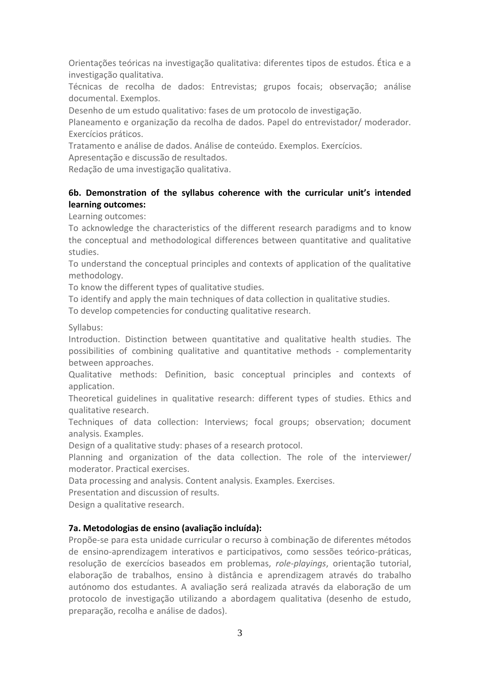Orientações teóricas na investigação qualitativa: diferentes tipos de estudos. Ética e a investigação qualitativa.

Técnicas de recolha de dados: Entrevistas; grupos focais; observação; análise documental. Exemplos.

Desenho de um estudo qualitativo: fases de um protocolo de investigação.

Planeamento e organização da recolha de dados. Papel do entrevistador/ moderador. Exercícios práticos.

Tratamento e análise de dados. Análise de conteúdo. Exemplos. Exercícios.

Apresentação e discussão de resultados.

Redação de uma investigação qualitativa.

## **6b. Demonstration of the syllabus coherence with the curricular unit's intended learning outcomes:**

Learning outcomes:

To acknowledge the characteristics of the different research paradigms and to know the conceptual and methodological differences between quantitative and qualitative studies.

To understand the conceptual principles and contexts of application of the qualitative methodology.

To know the different types of qualitative studies.

To identify and apply the main techniques of data collection in qualitative studies.

To develop competencies for conducting qualitative research.

Syllabus:

Introduction. Distinction between quantitative and qualitative health studies. The possibilities of combining qualitative and quantitative methods - complementarity between approaches.

Qualitative methods: Definition, basic conceptual principles and contexts of application.

Theoretical guidelines in qualitative research: different types of studies. Ethics and qualitative research.

Techniques of data collection: Interviews; focal groups; observation; document analysis. Examples.

Design of a qualitative study: phases of a research protocol.

Planning and organization of the data collection. The role of the interviewer/ moderator. Practical exercises.

Data processing and analysis. Content analysis. Examples. Exercises.

Presentation and discussion of results.

Design a qualitative research.

## **7a. Metodologias de ensino (avaliação incluída):**

Propõe-se para esta unidade curricular o recurso à combinação de diferentes métodos de ensino-aprendizagem interativos e participativos, como sessões teórico-práticas, resolução de exercícios baseados em problemas, *role-playings*, orientação tutorial, elaboração de trabalhos, ensino à distância e aprendizagem através do trabalho autónomo dos estudantes. A avaliação será realizada através da elaboração de um protocolo de investigação utilizando a abordagem qualitativa (desenho de estudo, preparação, recolha e análise de dados).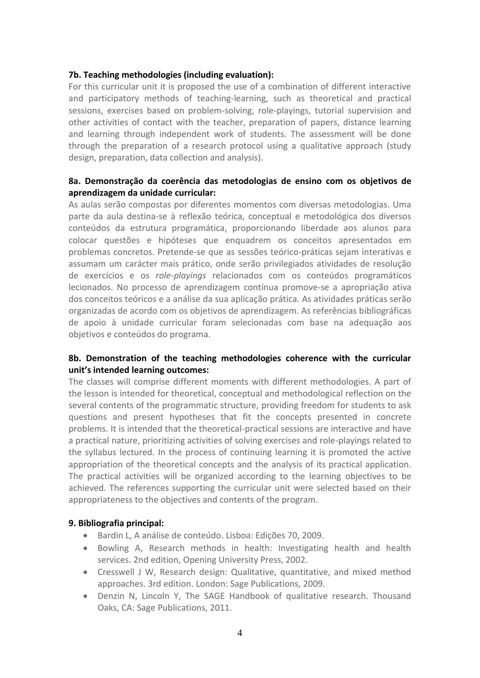#### **7b. Teaching methodologies (including evaluation):**

For this curricular unit it is proposed the use of a combination of different interactive and participatory methods of teaching-learning, such as theoretical and practical sessions, exercises based on problem-solving, role-playings, tutorial supervision and other activities of contact with the teacher, preparation of papers, distance learning and learning through independent work of students. The assessment will be done through the preparation of a research protocol using a qualitative approach (study design, preparation, data collection and analysis).

## **8a. Demonstração da coerência das metodologias de ensino com os objetivos de aprendizagem da unidade curricular:**

As aulas serão compostas por diferentes momentos com diversas metodologias. Uma parte da aula destina-se à reflexão teórica, conceptual e metodológica dos diversos conteúdos da estrutura programática, proporcionando liberdade aos alunos para colocar questões e hipóteses que enquadrem os conceitos apresentados em problemas concretos. Pretende-se que as sessões teórico-práticas sejam interativas e assumam um carácter mais prático, onde serão privilegiados atividades de resolução de exercícios e os *role-playings* relacionados com os conteúdos programáticos lecionados. No processo de aprendizagem contínua promove-se a apropriação ativa dos conceitos teóricos e a análise da sua aplicação prática. As atividades práticas serão organizadas de acordo com os objetivos de aprendizagem. As referências bibliográficas de apoio à unidade curricular foram selecionadas com base na adequação aos objetivos e conteúdos do programa.

## **8b. Demonstration of the teaching methodologies coherence with the curricular unit's intended learning outcomes:**

The classes will comprise different moments with different methodologies. A part of the lesson is intended for theoretical, conceptual and methodological reflection on the several contents of the programmatic structure, providing freedom for students to ask questions and present hypotheses that fit the concepts presented in concrete problems. It is intended that the theoretical-practical sessions are interactive and have a practical nature, prioritizing activities of solving exercises and role-playings related to the syllabus lectured. In the process of continuing learning it is promoted the active appropriation of the theoretical concepts and the analysis of its practical application. The practical activities will be organized according to the learning objectives to be achieved. The references supporting the curricular unit were selected based on their appropriateness to the objectives and contents of the program.

#### **9. Bibliografia principal:**

- Bardin L, A análise de conteúdo. Lisboa: Edições 70, 2009.
- Bowling A, Research methods in health: Investigating health and health services. 2nd edition, Opening University Press, 2002.
- Cresswell J W, Research design: Qualitative, quantitative, and mixed method approaches. 3rd edition. London: Sage Publications, 2009.
- Denzin N, Lincoln Y, The SAGE Handbook of qualitative research. Thousand Oaks, CA: Sage Publications, 2011.